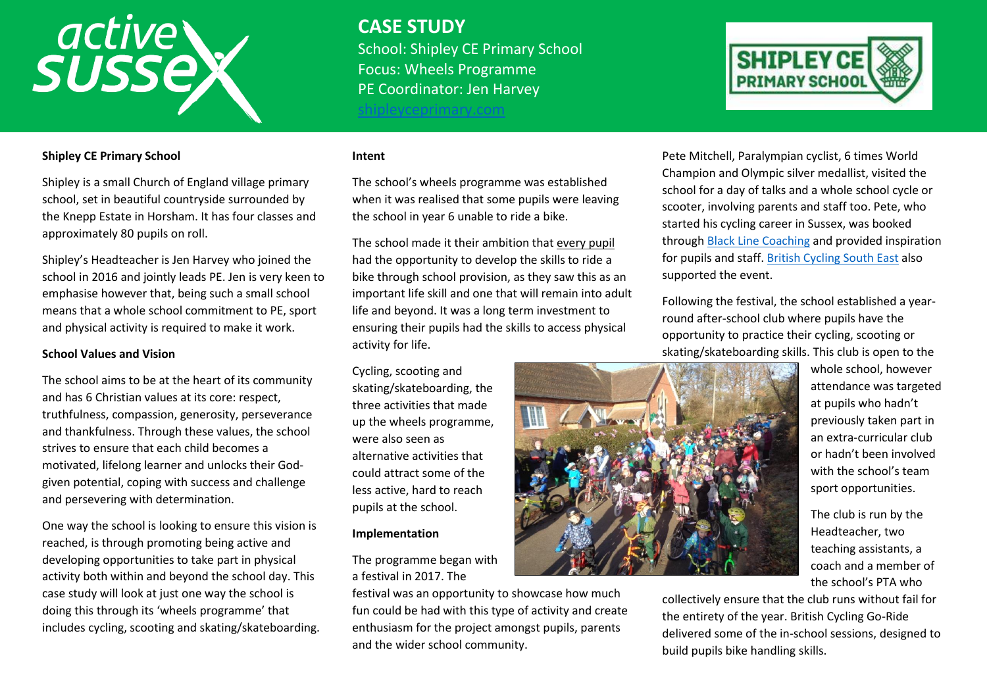# active

# **CASE STUDY**

School: Shipley CE Primary School Focus: Wheels Programme PE Coordinator: Jen Harvey

eyceprimary.com



# **Shipley CE Primary School**

Shipley is a small Church of England village primary school, set in beautiful countryside surrounded by the Knepp Estate in Horsham. It has four classes and approximately 80 pupils on roll.

Shipley's Headteacher is Jen Harvey who joined the school in 2016 and jointly leads PE. Jen is very keen to emphasise however that, being such a small school means that a whole school commitment to PE, sport and physical activity is required to make it work.

# **School Values and Vision**

The school aims to be at the heart of its community and has 6 Christian values at its core: respect, truthfulness, compassion, generosity, perseverance and thankfulness. Through these values, the school strives to ensure that each child becomes a motivated, lifelong learner and unlocks their Godgiven potential, coping with success and challenge and persevering with determination.

One way the school is looking to ensure this vision is reached, is through promoting being active and developing opportunities to take part in physical activity both within and beyond the school day. This case study will look at just one way the school is doing this through its 'wheels programme' that includes cycling, scooting and skating/skateboarding.

#### **Intent**

The school's wheels programme was established when it was realised that some pupils were leaving the school in year 6 unable to ride a bike.

The school made it their ambition that every pupil had the opportunity to develop the skills to ride a bike through school provision, as they saw this as an important life skill and one that will remain into adult life and beyond. It was a long term investment to ensuring their pupils had the skills to access physical activity for life.

Cycling, scooting and skating/skateboarding, the three activities that made up the wheels programme, were also seen as alternative activities that could attract some of the less active, hard to reach pupils at the school.

#### **Implementation**

The programme began with a festival in 2017. The

festival was an opportunity to showcase how much fun could be had with this type of activity and create enthusiasm for the project amongst pupils, parents and the wider school community.

Pete Mitchell, Paralympian cyclist, 6 times World Champion and Olympic silver medallist, visited the school for a day of talks and a whole school cycle or scooter, involving parents and staff too. Pete, who started his cycling career in Sussex, was booked through [Black Line Coaching](https://blacklinecoaching.com/) and provided inspiration for pupils and staff. [British Cycling South East](https://www.britishcycling.org.uk/regions/southeast) also supported the event.

Following the festival, the school established a yearround after-school club where pupils have the opportunity to practice their cycling, scooting or skating/skateboarding skills. This club is open to the



whole school, however attendance was targeted at pupils who hadn't previously taken part in an extra-curricular club or hadn't been involved with the school's team sport opportunities.

The club is run by the Headteacher, two teaching assistants, a coach and a member of the school's PTA who

collectively ensure that the club runs without fail for the entirety of the year. British Cycling Go-Ride delivered some of the in-school sessions, designed to build pupils bike handling skills.